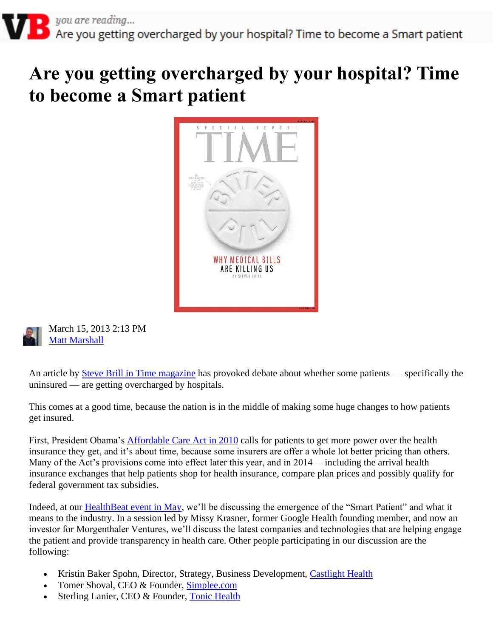## **Are you getting overcharged by your hospital? Time to become a Smart patient**





March 15, 2013 2:13 PM **Matt Marshall** 

An article by [Steve Brill in Time magazine](http://www.time.com/time/magazine/article/0,9171,2136864,00.html) has provoked debate about whether some patients — specifically the uninsured — are getting overcharged by hospitals.

This comes at a good time, because the nation is in the middle of making some huge changes to how patients get insured.

First, President Obama's [Affordable Care Act in 2010](http://en.wikipedia.org/wiki/Patient_Protection_and_Affordable_Care_Act) calls for patients to get more power over the health insurance they get, and it's about time, because some insurers are offer a whole lot better pricing than others. Many of the Act's provisions come into effect later this year, and in 2014 – including the arrival health insurance exchanges that help patients shop for health insurance, compare plan prices and possibly qualify for federal government tax subsidies.

Indeed, at our **HealthBeat event in May**, we'll be discussing the emergence of the "Smart Patient" and what it means to the industry. In a session led by Missy Krasner, former Google Health founding member, and now an investor for Morgenthaler Ventures, we'll discuss the latest companies and technologies that are helping engage the patient and provide transparency in health care. Other people participating in our discussion are the following:

- Kristin Baker Spohn, Director, Strategy, Business Development, [Castlight Health](http://www.castlighthealth.com/)
- Tomer Shoval, CEO & Founder, [Simplee.com](http://www.simplee.com/)
- Sterling Lanier, CEO & Founder, [Tonic Health](http://www.tonicforhealth.com/)